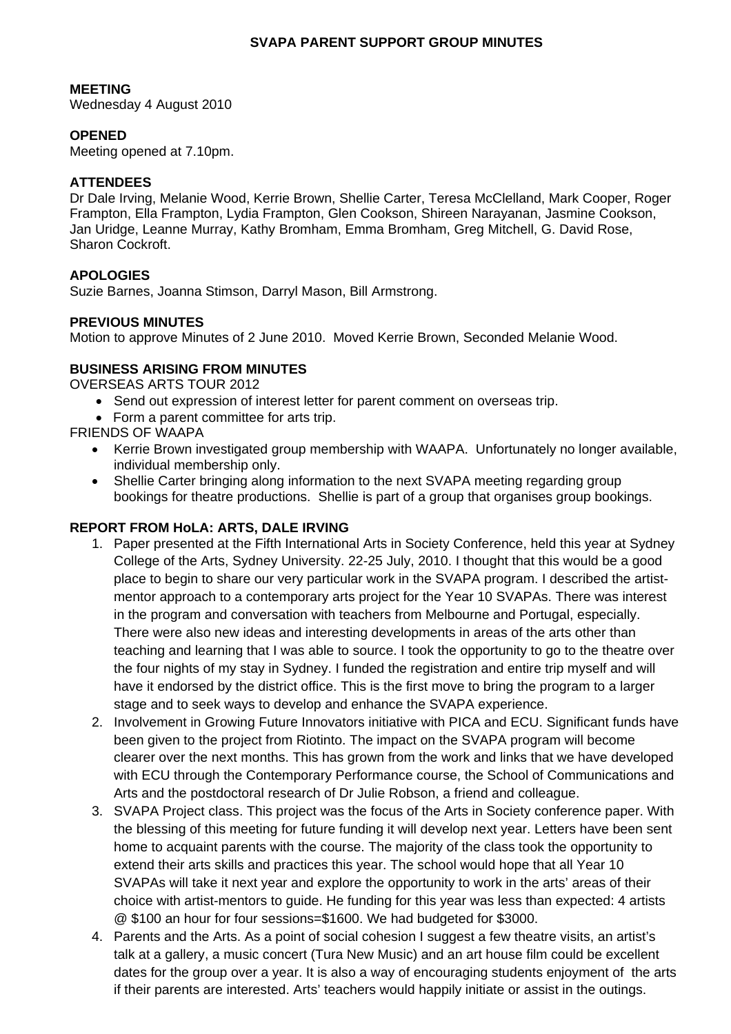### **SVAPA PARENT SUPPORT GROUP MINUTES**

### **MEETING**

Wednesday 4 August 2010

## **OPENED**

Meeting opened at 7.10pm.

## **ATTENDEES**

Dr Dale Irving, Melanie Wood, Kerrie Brown, Shellie Carter, Teresa McClelland, Mark Cooper, Roger Frampton, Ella Frampton, Lydia Frampton, Glen Cookson, Shireen Narayanan, Jasmine Cookson, Jan Uridge, Leanne Murray, Kathy Bromham, Emma Bromham, Greg Mitchell, G. David Rose, Sharon Cockroft.

# **APOLOGIES**

Suzie Barnes, Joanna Stimson, Darryl Mason, Bill Armstrong.

## **PREVIOUS MINUTES**

Motion to approve Minutes of 2 June 2010. Moved Kerrie Brown, Seconded Melanie Wood.

# **BUSINESS ARISING FROM MINUTES**

OVERSEAS ARTS TOUR 2012

- Send out expression of interest letter for parent comment on overseas trip.
- Form a parent committee for arts trip.

FRIENDS OF WAAPA

- Kerrie Brown investigated group membership with WAAPA. Unfortunately no longer available, individual membership only.
- Shellie Carter bringing along information to the next SVAPA meeting regarding group bookings for theatre productions. Shellie is part of a group that organises group bookings.

## **REPORT FROM HoLA: ARTS, DALE IRVING**

- 1. Paper presented at the Fifth International Arts in Society Conference, held this year at Sydney College of the Arts, Sydney University. 22-25 July, 2010. I thought that this would be a good place to begin to share our very particular work in the SVAPA program. I described the artistmentor approach to a contemporary arts project for the Year 10 SVAPAs. There was interest in the program and conversation with teachers from Melbourne and Portugal, especially. There were also new ideas and interesting developments in areas of the arts other than teaching and learning that I was able to source. I took the opportunity to go to the theatre over the four nights of my stay in Sydney. I funded the registration and entire trip myself and will have it endorsed by the district office. This is the first move to bring the program to a larger stage and to seek ways to develop and enhance the SVAPA experience.
- 2. Involvement in Growing Future Innovators initiative with PICA and ECU. Significant funds have been given to the project from Riotinto. The impact on the SVAPA program will become clearer over the next months. This has grown from the work and links that we have developed with ECU through the Contemporary Performance course, the School of Communications and Arts and the postdoctoral research of Dr Julie Robson, a friend and colleague.
- 3. SVAPA Project class. This project was the focus of the Arts in Society conference paper. With the blessing of this meeting for future funding it will develop next year. Letters have been sent home to acquaint parents with the course. The majority of the class took the opportunity to extend their arts skills and practices this year. The school would hope that all Year 10 SVAPAs will take it next year and explore the opportunity to work in the arts' areas of their choice with artist-mentors to guide. He funding for this year was less than expected: 4 artists @ \$100 an hour for four sessions=\$1600. We had budgeted for \$3000.
- 4. Parents and the Arts. As a point of social cohesion I suggest a few theatre visits, an artist's talk at a gallery, a music concert (Tura New Music) and an art house film could be excellent dates for the group over a year. It is also a way of encouraging students enjoyment of the arts if their parents are interested. Arts' teachers would happily initiate or assist in the outings.